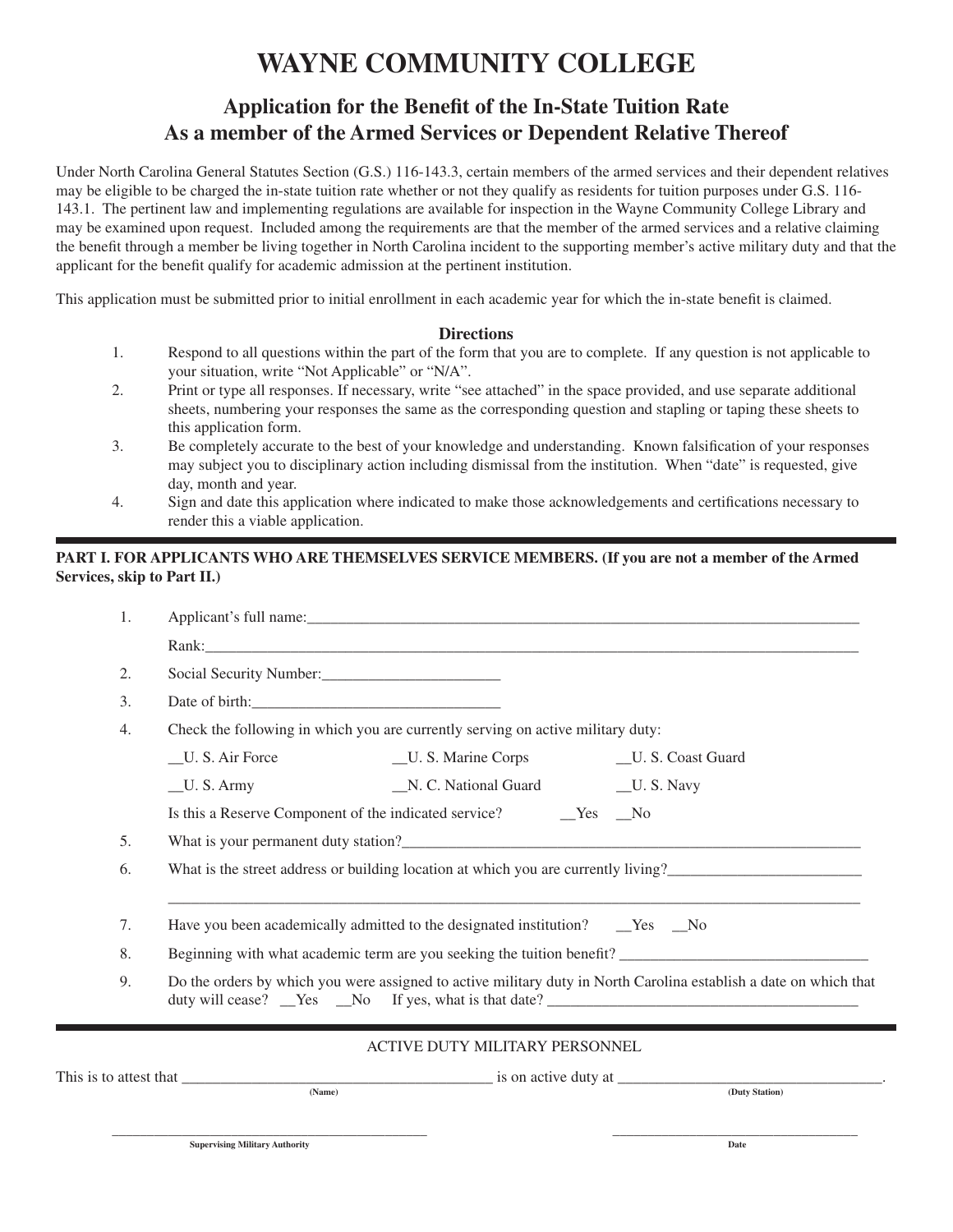# **WAYNE COMMUNITY COLLEGE**

## Application for the Benefit of the In-State Tuition Rate **As a member of the Armed Services or Dependent Relative Thereof**

Under North Carolina General Statutes Section (G.S.) 116-143.3, certain members of the armed services and their dependent relatives may be eligible to be charged the in-state tuition rate whether or not they qualify as residents for tuition purposes under G.S. 116- 143.1. The pertinent law and implementing regulations are available for inspection in the Wayne Community College Library and may be examined upon request. Included among the requirements are that the member of the armed services and a relative claiming the benefit through a member be living together in North Carolina incident to the supporting member's active military duty and that the applicant for the benefit qualify for academic admission at the pertinent institution.

This application must be submitted prior to initial enrollment in each academic year for which the in-state benefit is claimed.

#### **Directions**

- 1. Respond to all questions within the part of the form that you are to complete. If any question is not applicable to your situation, write "Not Applicable" or "N/A".
- 2. Print or type all responses. If necessary, write "see attached" in the space provided, and use separate additional sheets, numbering your responses the same as the corresponding question and stapling or taping these sheets to this application form.
- 3. Be completely accurate to the best of your knowledge and understanding. Known falsification of your responses may subject you to disciplinary action including dismissal from the institution. When "date" is requested, give day, month and year.
- 4. Sign and date this application where indicated to make those acknowledgements and certifications necessary to render this a viable application.

#### **PART I. FOR APPLICANTS WHO ARE THEMSELVES SERVICE MEMBERS. (If you are not a member of the Armed Services, skip to Part II.)**

| 1. |                                                                                                                                                                                                                                |  |  |  |
|----|--------------------------------------------------------------------------------------------------------------------------------------------------------------------------------------------------------------------------------|--|--|--|
|    | Rank: Natural Communication of the Communication of the Communication of the Communication of the Communication of the Communication of the Communication of the Communication of the Communication of the Communication of th |  |  |  |
| 2. | Social Security Number:                                                                                                                                                                                                        |  |  |  |
| 3. |                                                                                                                                                                                                                                |  |  |  |
| 4. | Check the following in which you are currently serving on active military duty:                                                                                                                                                |  |  |  |
|    | _U. S. Air Force<br>__U. S. Marine Corps<br>__U. S. Coast Guard                                                                                                                                                                |  |  |  |
|    | _N. C. National Guard<br>U.S. Army<br>$\_\_$ U. S. Navy                                                                                                                                                                        |  |  |  |
|    |                                                                                                                                                                                                                                |  |  |  |
| 5. |                                                                                                                                                                                                                                |  |  |  |
| 6. | What is the street address or building location at which you are currently living?                                                                                                                                             |  |  |  |
| 7. |                                                                                                                                                                                                                                |  |  |  |
| 8. | Beginning with what academic term are you seeking the tuition benefit?                                                                                                                                                         |  |  |  |
| 9. | Do the orders by which you were assigned to active military duty in North Carolina establish a date on which that<br>duty will cease? Nes No If yes, what is that date?                                                        |  |  |  |
|    | ACTIVE DUTY MILITARY PERSONNEL                                                                                                                                                                                                 |  |  |  |
|    |                                                                                                                                                                                                                                |  |  |  |
|    | (Name)<br>(Duty Station)                                                                                                                                                                                                       |  |  |  |
|    | <b>Supervising Military Authority</b><br>Date                                                                                                                                                                                  |  |  |  |
|    |                                                                                                                                                                                                                                |  |  |  |